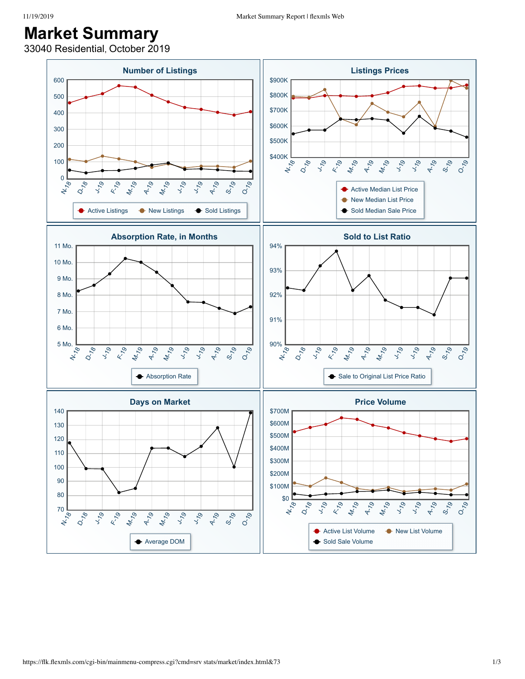## **Market Summary**

33040 Residential, October 2019

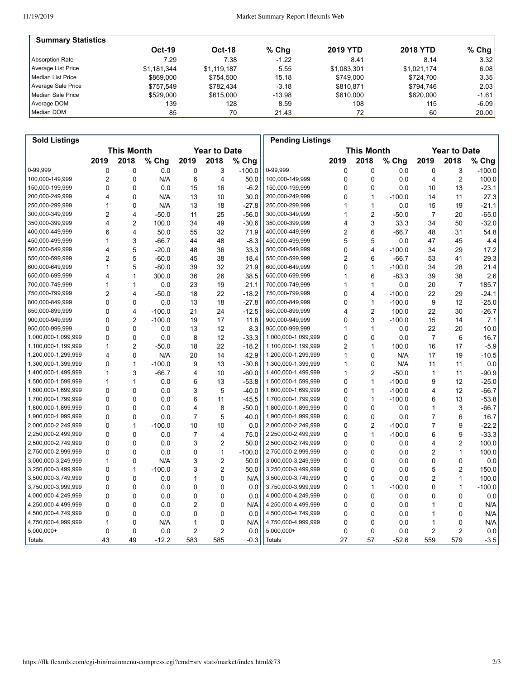| <b>Summary Statistics</b> |             |               |          |                 |                 |           |
|---------------------------|-------------|---------------|----------|-----------------|-----------------|-----------|
|                           | $Oct-19$    | <b>Oct-18</b> | $%$ Chq  | <b>2019 YTD</b> | <b>2018 YTD</b> | % Chg $ $ |
| Absorption Rate           | 7.29        | 7.38          | $-1.22$  | 8.41            | 8.14            | 3.32      |
| Average List Price        | \$1.181.344 | \$1,119,187   | 5.55     | \$1,083,301     | \$1,021,174     | 6.08      |
| l Median List Price       | \$869,000   | \$754.500     | 15.18    | \$749.000       | \$724.700       | 3.35      |
| Average Sale Price        | \$757.549   | \$782.434     | $-3.18$  | \$810.871       | \$794.746       | 2.03      |
| Median Sale Price         | \$529,000   | \$615,000     | $-13.98$ | \$610,000       | \$620,000       | $-1.61$   |
| Average DOM               | 139         | 128           | 8.59     | 108             | 115             | $-6.09$   |
| Median DOM                | 85          | 70            | 21.43    | 72              | 60              | 20.00     |

| <b>Sold Listings</b> |                |                   |          |                |                     |          | <b>Pending Listings</b> |             |                   |          |      |                     |          |
|----------------------|----------------|-------------------|----------|----------------|---------------------|----------|-------------------------|-------------|-------------------|----------|------|---------------------|----------|
|                      |                | <b>This Month</b> |          |                | <b>Year to Date</b> |          |                         |             | <b>This Month</b> |          |      | <b>Year to Date</b> |          |
|                      | 2019           | 2018              | % Chg    | 2019           | 2018                | % Chg    |                         | 2019        | 2018              | % Chg    | 2019 | 2018                | % Chg    |
| 0-99.999             | 0              | 0                 | 0.0      | 0              | 3                   | $-100.0$ | 0-99,999                | 0           | $\mathbf 0$       | 0.0      | 0    | 3                   | $-100.0$ |
| 100,000-149,999      | $\overline{2}$ | 0                 | N/A      | 6              | 4                   | 50.0     | 100,000-149,999         | 0           | $\mathbf 0$       | 0.0      | 4    | $\overline{2}$      | 100.0    |
| 150,000-199,999      | $\Omega$       | $\Omega$          | 0.0      | 15             | 16                  | $-6.2$   | 150,000-199,999         | $\Omega$    | $\Omega$          | 0.0      | 10   | 13                  | $-23.1$  |
| 200,000-249,999      | 4              | 0                 | N/A      | 13             | 10                  | 30.0     | 200,000-249,999         | 0           | $\mathbf{1}$      | $-100.0$ | 14   | 11                  | 27.3     |
| 250,000-299,999      | 1              | 0                 | N/A      | 13             | 18                  | $-27.8$  | 250,000-299,999         | 1           | $\mathbf{1}$      | 0.0      | 15   | 19                  | $-21.1$  |
| 300,000-349,999      | 2              | 4                 | $-50.0$  | 11             | 25                  | $-56.0$  | 300,000-349,999         | 1           | $\overline{2}$    | $-50.0$  | 7    | 20                  | $-65.0$  |
| 350,000-399,999      | 4              | $\overline{c}$    | 100.0    | 34             | 49                  | $-30.6$  | 350,000-399,999         | 4           | $\mathsf 3$       | 33.3     | 34   | 50                  | $-32.0$  |
| 400,000-449,999      | 6              | 4                 | 50.0     | 55             | 32                  | 71.9     | 400,000-449,999         | 2           | 6                 | $-66.7$  | 48   | 31                  | 54.8     |
| 450,000-499,999      | 1              | 3                 | $-66.7$  | 44             | 48                  | $-8.3$   | 450,000-499,999         | 5           | 5                 | 0.0      | 47   | 45                  | 4.4      |
| 500,000-549,999      | 4              | 5                 | $-20.0$  | 48             | 36                  | 33.3     | 500,000-549,999         | 0           | $\overline{4}$    | $-100.0$ | 34   | 29                  | 17.2     |
| 550,000-599,999      | 2              | 5                 | $-60.0$  | 45             | 38                  | 18.4     | 550,000-599,999         | 2           | 6                 | $-66.7$  | 53   | 41                  | 29.3     |
| 600,000-649,999      | 1              | 5                 | $-80.0$  | 39             | 32                  | 21.9     | 600,000-649,999         | 0           | $\mathbf{1}$      | $-100.0$ | 34   | 28                  | 21.4     |
| 650,000-699,999      | 4              | 1                 | 300.0    | 36             | 26                  | 38.5     | 650,000-699,999         | 1           | 6                 | $-83.3$  | 39   | 38                  | 2.6      |
| 700,000-749,999      | 1              | 1                 | 0.0      | 23             | 19                  | 21.1     | 700,000-749,999         | 1           | $\mathbf{1}$      | 0.0      | 20   | 7                   | 185.7    |
| 750,000-799,999      | 2              | 4                 | $-50.0$  | 18             | 22                  | $-18.2$  | 750,000-799,999         | 0           | $\overline{4}$    | $-100.0$ | 22   | 29                  | $-24.1$  |
| 800,000-849,999      | 0              | 0                 | 0.0      | 13             | 18                  | $-27.8$  | 800,000-849,999         | 0           | $\mathbf{1}$      | $-100.0$ | 9    | 12                  | $-25.0$  |
| 850,000-899,999      | 0              | $\overline{4}$    | $-100.0$ | 21             | 24                  | $-12.5$  | 850,000-899,999         | 4           | $\overline{2}$    | 100.0    | 22   | 30                  | $-26.7$  |
| 900,000-949,999      | 0              | $\overline{2}$    | $-100.0$ | 19             | 17                  | 11.8     | 900,000-949,999         | 0           | 3                 | $-100.0$ | 15   | 14                  | 7.1      |
| 950,000-999,999      | 0              | $\mathbf 0$       | 0.0      | 13             | 12                  | 8.3      | 950,000-999,999         | 1           | $\mathbf{1}$      | 0.0      | 22   | 20                  | 10.0     |
| 1,000,000-1,099,999  | 0              | 0                 | 0.0      | 8              | 12                  | $-33.3$  | 1,000,000-1,099,999     | 0           | $\mathbf 0$       | 0.0      | 7    | 6                   | 16.7     |
| 1,100,000-1,199,999  | 1              | 2                 | $-50.0$  | 18             | 22                  | $-18.2$  | 1,100,000-1,199,999     | 2           | $\mathbf{1}$      | 100.0    | 16   | 17                  | $-5.9$   |
| 1,200,000-1,299,999  | 4              | $\Omega$          | N/A      | 20             | 14                  | 42.9     | 1,200,000-1,299,999     | 1           | $\mathbf 0$       | N/A      | 17   | 19                  | $-10.5$  |
| 1,300,000-1,399,999  | 0              | 1                 | $-100.0$ | 9              | 13                  | $-30.8$  | 1,300,000-1,399,999     | 1           | $\mathbf{0}$      | N/A      | 11   | 11                  | 0.0      |
| 1,400,000-1,499,999  | 1              | 3                 | $-66.7$  | 4              | 10                  | $-60.0$  | 1,400,000-1,499,999     | 1           | $\overline{2}$    | $-50.0$  | 1    | 11                  | $-90.9$  |
| 1,500,000-1,599,999  | 1              | $\mathbf{1}$      | 0.0      | 6              | 13                  | $-53.8$  | 1,500,000-1,599,999     | $\mathbf 0$ | $\mathbf{1}$      | $-100.0$ | 9    | 12                  | $-25.0$  |
| 1,600,000-1,699,999  | 0              | 0                 | 0.0      | 3              | 5                   | $-40.0$  | 1,600,000-1,699,999     | 0           | $\mathbf{1}$      | $-100.0$ | 4    | 12                  | $-66.7$  |
| 1,700,000-1,799,999  | 0              | $\mathbf 0$       | 0.0      | 6              | 11                  | $-45.5$  | 1,700,000-1,799,999     | 0           | 1                 | $-100.0$ | 6    | 13                  | $-53.8$  |
| 1,800,000-1,899,999  | 0              | 0                 | 0.0      | 4              | 8                   | $-50.0$  | 1,800,000-1,899,999     | 0           | $\mathbf 0$       | 0.0      | 1    | 3                   | $-66.7$  |
| 1,900,000-1,999,999  | 0              | 0                 | 0.0      | $\overline{7}$ | 5                   | 40.0     | 1,900,000-1,999,999     | 0           | $\mathbf 0$       | 0.0      | 7    | 6                   | 16.7     |
| 2,000,000-2,249,999  | 0              | $\mathbf{1}$      | $-100.0$ | 10             | 10                  | 0.0      | 2,000,000-2,249,999     | $\mathbf 0$ | $\overline{2}$    | $-100.0$ | 7    | 9                   | $-22.2$  |
| 2,250,000-2,499,999  | 0              | 0                 | 0.0      | 7              | 4                   | 75.0     | 2,250,000-2,499,999     | 0           | $\mathbf{1}$      | $-100.0$ | 6    | 9                   | $-33.3$  |
| 2,500,000-2,749,999  | 0              | 0                 | 0.0      | 3              | 2                   | 50.0     | 2,500,000-2,749,999     | 0           | $\mathbf 0$       | 0.0      | 4    | $\overline{2}$      | 100.0    |
| 2,750,000-2,999,999  | 0              | 0                 | 0.0      | 0              | 1                   | $-100.0$ | 2,750,000-2,999,999     | 0           | $\mathbf 0$       | 0.0      | 2    | $\mathbf{1}$        | 100.0    |
| 3,000,000-3,249,999  | 1              | 0                 | N/A      | 3              | 2                   | 50.0     | 3,000,000-3,249,999     | 0           | 0                 | 0.0      | 0    | 0                   | 0.0      |
| 3,250,000-3,499,999  | $\Omega$       | $\mathbf{1}$      | $-100.0$ | 3              | $\overline{2}$      | 50.0     | 3,250,000-3,499,999     | $\Omega$    | $\Omega$          | 0.0      | 5    | $\overline{2}$      | 150.0    |
| 3,500,000-3,749,999  | 0              | $\mathbf 0$       | 0.0      | 1              | 0                   | N/A      | 3,500,000-3,749,999     | 0           | $\mathbf 0$       | 0.0      | 2    | $\mathbf{1}$        | 100.0    |
| 3,750,000-3,999,999  | 0              | 0                 | 0.0      | 0              | 0                   | 0.0      | 3,750,000-3,999,999     | 0           | $\mathbf{1}$      | $-100.0$ | 0    | $\mathbf{1}$        | $-100.0$ |
| 4,000,000-4,249,999  | 0              | 0                 | 0.0      | 0              | 0                   | 0.0      | 4,000,000-4,249,999     | 0           | $\Omega$          | 0.0      | 0    | 0                   | 0.0      |
| 4,250,000-4,499,999  | 0              | 0                 | 0.0      | 2              | 0                   | N/A      | 4,250,000-4,499,999     | 0           | $\mathbf 0$       | 0.0      | 1    | 0                   | N/A      |
| 4,500,000-4,749,999  | 0              | 0                 | 0.0      | 0              | 0                   | 0.0      | 4,500,000-4,749,999     | 0           | 0                 | 0.0      | 1    | 0                   | N/A      |
| 4,750,000-4,999,999  | 1              | 0                 | N/A      | 1              | 0                   | N/A      | 4,750,000-4,999,999     | 0           | $\mathbf 0$       | 0.0      | 1    | 0                   | N/A      |
| $5,000,000+$         | $\mathbf 0$    | $\mathbf 0$       | 0.0      | 2              | $\overline{2}$      | 0.0      | 5,000,000+              | $\mathbf 0$ | $\mathbf 0$       | 0.0      | 2    | $\overline{2}$      | 0.0      |
| Totals               | 43             | 49                | $-12.2$  | 583            | 585                 | $-0.3$   | Totals                  | 27          | 57                | $-52.6$  | 559  | 579                 | $-3.5$   |
|                      |                |                   |          |                |                     |          |                         |             |                   |          |      |                     |          |